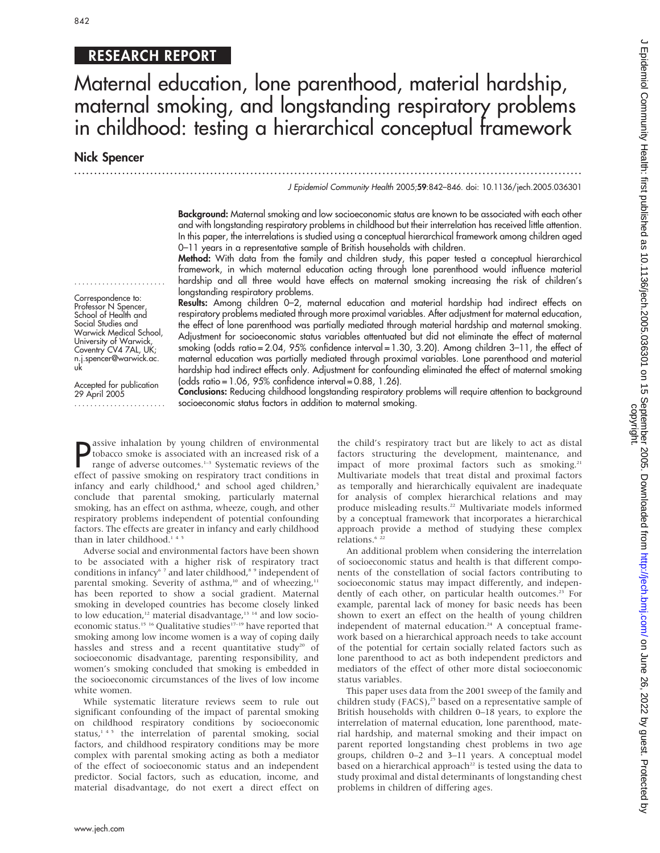# 842

## RESEARCH REPORT

# Maternal education, lone parenthood, material hardship, maternal smoking, and longstanding respiratory problems in childhood: testing a hierarchical conceptual framework

Nick Spencer

...............................................................................................................................

J Epidemiol Community Health 2005;59:842–846. doi: 10.1136/jech.2005.036301

Background: Maternal smoking and low socioeconomic status are known to be associated with each other and with longstanding respiratory problems in childhood but their interrelation has received little attention. In this paper, the interrelations is studied using a conceptual hierarchical framework among children aged 0–11 years in a representative sample of British households with children.

Method: With data from the family and children study, this paper tested a conceptual hierarchical framework, in which maternal education acting through lone parenthood would influence material hardship and all three would have effects on maternal smoking increasing the risk of children's longstanding respiratory problems.

Results: Among children 0-2, maternal education and material hardship had indirect effects on respiratory problems mediated through more proximal variables. After adjustment for maternal education, the effect of lone parenthood was partially mediated through material hardship and maternal smoking. Adjustment for socioeconomic status variables attentuated but did not eliminate the effect of maternal smoking (odds ratio = 2.04, 95% confidence interval = 1.30, 3.20). Among children 3–11, the effect of maternal education was partially mediated through proximal variables. Lone parenthood and material hardship had indirect effects only. Adjustment for confounding eliminated the effect of maternal smoking (odds ratio = 1.06, 95% confidence interval = 0.88, 1.26).

....................... Conclusions: Reducing childhood longstanding respiratory problems will require attention to background socioeconomic status factors in addition to maternal smoking.

**P** assive inhalation by young children of environmental<br>tobacco smoke is associated with an increased risk of a<br>range of adverse outcomes.<sup>1-3</sup> Systematic reviews of the<br>effect of passive empling on requiratory tract cond assive inhalation by young children of environmental range of adverse outcomes.<sup>1-3</sup> Systematic reviews of the effect of passive smoking on respiratory tract conditions in infancy and early childhood, $4$  and school aged children, $5$ conclude that parental smoking, particularly maternal smoking, has an effect on asthma, wheeze, cough, and other respiratory problems independent of potential confounding factors. The effects are greater in infancy and early childhood than in later childhood.<sup>145</sup>

Adverse social and environmental factors have been shown to be associated with a higher risk of respiratory tract conditions in infancy<sup>67</sup> and later childhood,<sup>89</sup> independent of parental smoking. Severity of asthma,<sup>10</sup> and of wheezing,<sup>11</sup> has been reported to show a social gradient. Maternal smoking in developed countries has become closely linked to low education,<sup>12</sup> material disadvantage,<sup>13 14</sup> and low socioeconomic status.<sup>15 16</sup> Qualitative studies<sup>17-19</sup> have reported that smoking among low income women is a way of coping daily hassles and stress and a recent quantitative study<sup>20</sup> of socioeconomic disadvantage, parenting responsibility, and women's smoking concluded that smoking is embedded in the socioeconomic circumstances of the lives of low income white women.

While systematic literature reviews seem to rule out significant confounding of the impact of parental smoking on childhood respiratory conditions by socioeconomic status,<sup>145</sup> the interrelation of parental smoking, social factors, and childhood respiratory conditions may be more complex with parental smoking acting as both a mediator of the effect of socioeconomic status and an independent predictor. Social factors, such as education, income, and material disadvantage, do not exert a direct effect on the child's respiratory tract but are likely to act as distal factors structuring the development, maintenance, and impact of more proximal factors such as smoking.<sup>21</sup> Multivariate models that treat distal and proximal factors as temporally and hierarchically equivalent are inadequate for analysis of complex hierarchical relations and may produce misleading results.<sup>22</sup> Multivariate models informed by a conceptual framework that incorporates a hierarchical approach provide a method of studying these complex relations.<sup>6</sup><sup>22</sup>

An additional problem when considering the interrelation of socioeconomic status and health is that different components of the constellation of social factors contributing to socioeconomic status may impact differently, and independently of each other, on particular health outcomes.<sup>23</sup> For example, parental lack of money for basic needs has been shown to exert an effect on the health of young children independent of maternal education.<sup>24</sup> A conceptual framework based on a hierarchical approach needs to take account of the potential for certain socially related factors such as lone parenthood to act as both independent predictors and mediators of the effect of other more distal socioeconomic status variables.

This paper uses data from the 2001 sweep of the family and children study (FACS), $^{25}$  based on a representative sample of British households with children 0–18 years, to explore the interrelation of maternal education, lone parenthood, material hardship, and maternal smoking and their impact on parent reported longstanding chest problems in two age groups, children 0–2 and 3–11 years. A conceptual model based on a hierarchical approach<sup>22</sup> is tested using the data to study proximal and distal determinants of longstanding chest problems in children of differing ages.

www.jech.com

Professor N Spencer School of Health and Social Studies and Warwick Medical School, University of Warwick, Coventry CV4 7AL, UK; n.j.spencer@warwick.ac. uk

....................... Correspondence to:

Accepted for publication 29 April 2005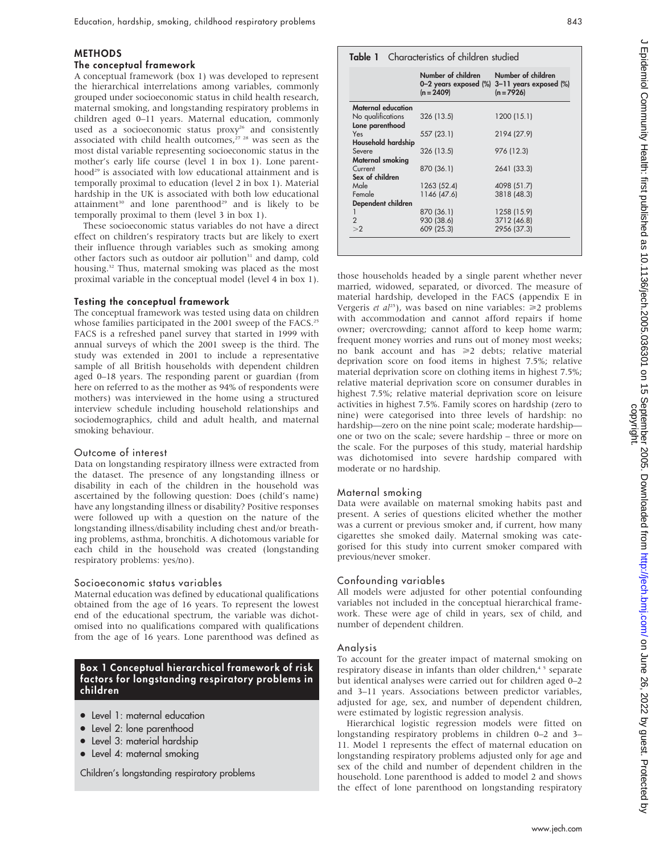## METHODS

## The conceptual framework

A conceptual framework (box 1) was developed to represent the hierarchical interrelations among variables, commonly grouped under socioeconomic status in child health research, maternal smoking, and longstanding respiratory problems in children aged 0–11 years. Maternal education, commonly used as a socioeconomic status proxy<sup>26</sup> and consistently associated with child health outcomes,<sup>27 28</sup> was seen as the most distal variable representing socioeconomic status in the mother's early life course (level 1 in box 1). Lone parenthood<sup>29</sup> is associated with low educational attainment and is temporally proximal to education (level 2 in box 1). Material hardship in the UK is associated with both low educational attainment<sup>30</sup> and lone parenthood<sup>29</sup> and is likely to be temporally proximal to them (level 3 in box 1).

These socioeconomic status variables do not have a direct effect on children's respiratory tracts but are likely to exert their influence through variables such as smoking among other factors such as outdoor air pollution<sup>31</sup> and damp, cold housing.<sup>32</sup> Thus, maternal smoking was placed as the most proximal variable in the conceptual model (level 4 in box 1).

## Testing the conceptual framework

The conceptual framework was tested using data on children whose families participated in the 2001 sweep of the FACS.<sup>25</sup> FACS is a refreshed panel survey that started in 1999 with annual surveys of which the 2001 sweep is the third. The study was extended in 2001 to include a representative sample of all British households with dependent children aged 0–18 years. The responding parent or guardian (from here on referred to as the mother as 94% of respondents were mothers) was interviewed in the home using a structured interview schedule including household relationships and sociodemographics, child and adult health, and maternal smoking behaviour.

## Outcome of interest

Data on longstanding respiratory illness were extracted from the dataset. The presence of any longstanding illness or disability in each of the children in the household was ascertained by the following question: Does (child's name) have any longstanding illness or disability? Positive responses were followed up with a question on the nature of the longstanding illness/disability including chest and/or breathing problems, asthma, bronchitis. A dichotomous variable for each child in the household was created (longstanding respiratory problems: yes/no).

#### Socioeconomic status variables

Maternal education was defined by educational qualifications obtained from the age of 16 years. To represent the lowest end of the educational spectrum, the variable was dichotomised into no qualifications compared with qualifications from the age of 16 years. Lone parenthood was defined as

## Box 1 Conceptual hierarchical framework of risk factors for longstanding respiratory problems in children

- Level 1: maternal education
- Level 2: lone parenthood
- Level 3: material hardship
- Level 4: maternal smoking

Children's longstanding respiratory problems

|                    | Number of children<br>$(n = 2409)$ | Number of children<br>0-2 years exposed (%) 3-11 years exposed (%)<br>$(n = 7926)$ |
|--------------------|------------------------------------|------------------------------------------------------------------------------------|
| Maternal education |                                    |                                                                                    |
| No qualifications  | 326 (13.5)                         | 1200 (15.1)                                                                        |
| Lone parenthood    |                                    |                                                                                    |
| Yes                | 557 (23.1)                         | 2194 (27.9)                                                                        |
| Household hardship |                                    |                                                                                    |
| Severe             | 326 (13.5)                         | 976 (12.3)                                                                         |
| Maternal smoking   |                                    |                                                                                    |
| Current            | 870 (36.1)                         | 2641 (33.3)                                                                        |
| Sex of children    |                                    |                                                                                    |
| Male               | 1263 (52.4)                        | 4098 (51.7)                                                                        |
| Female             | 1146 (47.6)                        | 3818 (48.3)                                                                        |
| Dependent children |                                    |                                                                                    |
| 1                  | 870 (36.1)                         | 1258 (15.9)                                                                        |
| $\overline{2}$     | 930 (38.6)                         | 3712 (46.8)                                                                        |
| >2                 | 609 (25.3)                         | 2956 (37.3)                                                                        |

Digine 26, 2022 by guest. Protected by guest. Protected as 10.11360/jech.2005.039301 on 16. September 2005. Downloaded from http://jech.published by June 26, 2022 by Guest. Protected by The 26, 2022 on June 2012 on June 20

married, widowed, separated, or divorced. The measure of material hardship, developed in the FACS (appendix E in Vergeris et  $al^{25}$ ), was based on nine variables:  $\geq 2$  problems with accommodation and cannot afford repairs if home owner; overcrowding; cannot afford to keep home warm; frequent money worries and runs out of money most weeks; no bank account and has  $\geq 2$  debts; relative material deprivation score on food items in highest 7.5%; relative material deprivation score on clothing items in highest 7.5%; relative material deprivation score on consumer durables in highest 7.5%; relative material deprivation score on leisure activities in highest 7.5%. Family scores on hardship (zero to nine) were categorised into three levels of hardship: no hardship—zero on the nine point scale; moderate hardship one or two on the scale; severe hardship – three or more on the scale. For the purposes of this study, material hardship was dichotomised into severe hardship compared with moderate or no hardship.

## Maternal smoking

Data were available on maternal smoking habits past and present. A series of questions elicited whether the mother was a current or previous smoker and, if current, how many cigarettes she smoked daily. Maternal smoking was categorised for this study into current smoker compared with previous/never smoker.

## Confounding variables

All models were adjusted for other potential confounding variables not included in the conceptual hierarchical framework. These were age of child in years, sex of child, and number of dependent children.

## Analysis

To account for the greater impact of maternal smoking on respiratory disease in infants than older children,<sup>45</sup> separate but identical analyses were carried out for children aged 0–2 and 3–11 years. Associations between predictor variables, adjusted for age, sex, and number of dependent children, were estimated by logistic regression analysis.

Hierarchical logistic regression models were fitted on longstanding respiratory problems in children 0–2 and 3– 11. Model 1 represents the effect of maternal education on longstanding respiratory problems adjusted only for age and sex of the child and number of dependent children in the household. Lone parenthood is added to model 2 and shows the effect of lone parenthood on longstanding respiratory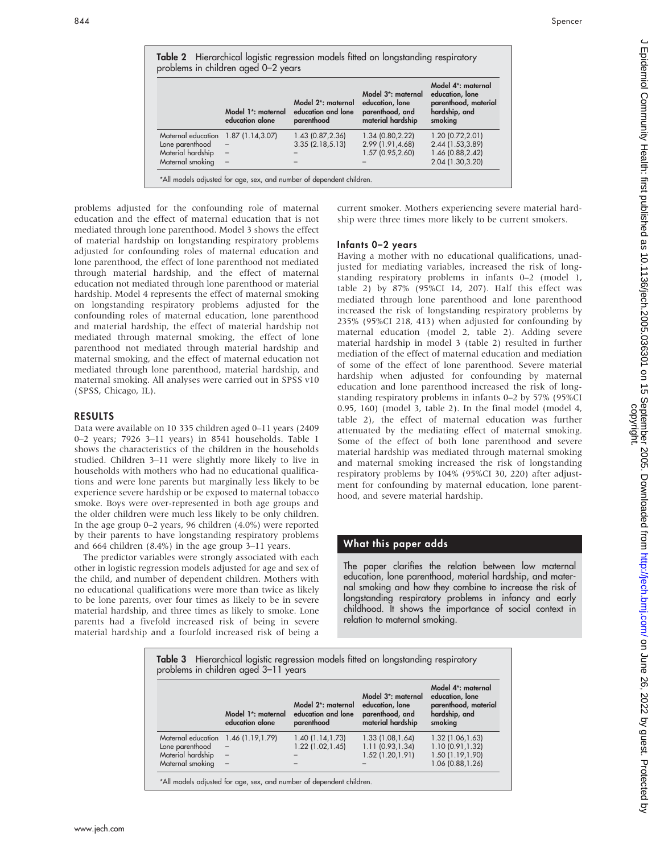|                    | Model 1 <sup>*</sup> : maternal<br>education alone | Model 2*: maternal<br>education and lone<br>parenthood | Model 3 <sup>*</sup> : maternal<br>education, lone<br>parenthood, and<br>material hardship | Model 4 <sup>*</sup> : maternal<br>education, lone<br>parenthood, material<br>hardship, and<br>smoking |
|--------------------|----------------------------------------------------|--------------------------------------------------------|--------------------------------------------------------------------------------------------|--------------------------------------------------------------------------------------------------------|
| Maternal education | 1.87(1.14, 3.07)                                   | 1.43 (0.87, 2.36)                                      | 1.34 (0.80, 2.22)                                                                          | 1.20(0.72, 2.01)                                                                                       |
| Lone parenthood    |                                                    | 3.35(2.18, 5.13)                                       | 2.99 (1.91,4.68)                                                                           | 2.44 (1.53,3.89)                                                                                       |
| Material hardship  |                                                    |                                                        | 1.57 (0.95,2.60)                                                                           | 1.46 (0.88, 2.42)                                                                                      |
| Maternal smoking   |                                                    |                                                        |                                                                                            | 2.04 (1.30,3.20)                                                                                       |

problems adjusted for the confounding role of maternal education and the effect of maternal education that is not mediated through lone parenthood. Model 3 shows the effect of material hardship on longstanding respiratory problems adjusted for confounding roles of maternal education and lone parenthood, the effect of lone parenthood not mediated through material hardship, and the effect of maternal education not mediated through lone parenthood or material hardship. Model 4 represents the effect of maternal smoking on longstanding respiratory problems adjusted for the confounding roles of maternal education, lone parenthood and material hardship, the effect of material hardship not mediated through maternal smoking, the effect of lone parenthood not mediated through material hardship and maternal smoking, and the effect of maternal education not mediated through lone parenthood, material hardship, and maternal smoking. All analyses were carried out in SPSS v10 (SPSS, Chicago, IL).

## RESULTS

Data were available on 10 335 children aged 0–11 years (2409 0–2 years; 7926 3–11 years) in 8541 households. Table 1 shows the characteristics of the children in the households studied. Children 3–11 were slightly more likely to live in households with mothers who had no educational qualifications and were lone parents but marginally less likely to be experience severe hardship or be exposed to maternal tobacco smoke. Boys were over-represented in both age groups and the older children were much less likely to be only children. In the age group 0–2 years, 96 children (4.0%) were reported by their parents to have longstanding respiratory problems and 664 children (8.4%) in the age group 3–11 years.

The predictor variables were strongly associated with each other in logistic regression models adjusted for age and sex of the child, and number of dependent children. Mothers with no educational qualifications were more than twice as likely to be lone parents, over four times as likely to be in severe material hardship, and three times as likely to smoke. Lone parents had a fivefold increased risk of being in severe material hardship and a fourfold increased risk of being a

current smoker. Mothers experiencing severe material hardship were three times more likely to be current smokers.

## Infants 0–2 years

Having a mother with no educational qualifications, unadjusted for mediating variables, increased the risk of longstanding respiratory problems in infants 0–2 (model 1, table 2) by 87% (95%CI 14, 207). Half this effect was mediated through lone parenthood and lone parenthood increased the risk of longstanding respiratory problems by 235% (95%CI 218, 413) when adjusted for confounding by maternal education (model 2, table 2). Adding severe material hardship in model 3 (table 2) resulted in further mediation of the effect of maternal education and mediation of some of the effect of lone parenthood. Severe material hardship when adjusted for confounding by maternal education and lone parenthood increased the risk of longstanding respiratory problems in infants 0–2 by 57% (95%CI 0.95, 160) (model 3, table 2). In the final model (model 4, table 2), the effect of maternal education was further attenuated by the mediating effect of maternal smoking. Some of the effect of both lone parenthood and severe material hardship was mediated through maternal smoking and maternal smoking increased the risk of longstanding respiratory problems by 104% (95%CI 30, 220) after adjustment for confounding by maternal education, lone parenthood, and severe material hardship.

## What this paper adds

The paper clarifies the relation between low maternal education, lone parenthood, material hardship, and maternal smoking and how they combine to increase the risk of longstanding respiratory problems in infancy and early childhood. It shows the importance of social context in relation to maternal smoking.

Table 3 Hierarchical logistic regression models fitted on longstanding respiratory problems in children aged 3–11 years

|                    | Model 1 <sup>*</sup> : maternal<br>education alone | Model 2 <sup>*</sup> : maternal<br>education and lone<br>parenthood | Model 3 <sup>*</sup> : maternal<br>education, lone<br>parenthood, and<br>material hardship | Model 4 <sup>*</sup> : maternal<br>education, lone<br>parenthood, material<br>hardship, and<br>smoking |
|--------------------|----------------------------------------------------|---------------------------------------------------------------------|--------------------------------------------------------------------------------------------|--------------------------------------------------------------------------------------------------------|
| Maternal education | 1.46(1.19, 1.79)                                   | 1.40(1.14, 1.73)                                                    | 1.33(1.08, 1.64)                                                                           | 1.32 (1.06, 1.63)                                                                                      |
| Lone parenthood    | $\qquad \qquad -$                                  | $1.22$ $(1.02, 1.45)$                                               | 1.11(0.93, 1.34)                                                                           | 1.10 (0.91, 1.32)                                                                                      |
| Material hardship  | $\overline{\phantom{a}}$                           |                                                                     | 1.52 (1.20, 1.91)                                                                          | 1.50 (1.19,1.90)                                                                                       |
| Maternal smoking   | $\overline{\phantom{0}}$                           |                                                                     |                                                                                            | 1.06 (0.88, 1.26)                                                                                      |

J Epidemiol Community Health: first published as 10.1136/jech.2005.036301 on 15 September 2005. Downloaded from http://jech.bmj.com/ on June 26, 2022 by guest. Protected<br>copyright. Digine 26, 2022 by guest. Protected by guest. Protected as 10.11360/jech.2005.039301 on 16. September 2005. Downloaded from http://jech.published by June 26, 2022 by Guest. Protected by The 26, 2022 on June 2012 on June 20 ਣ੍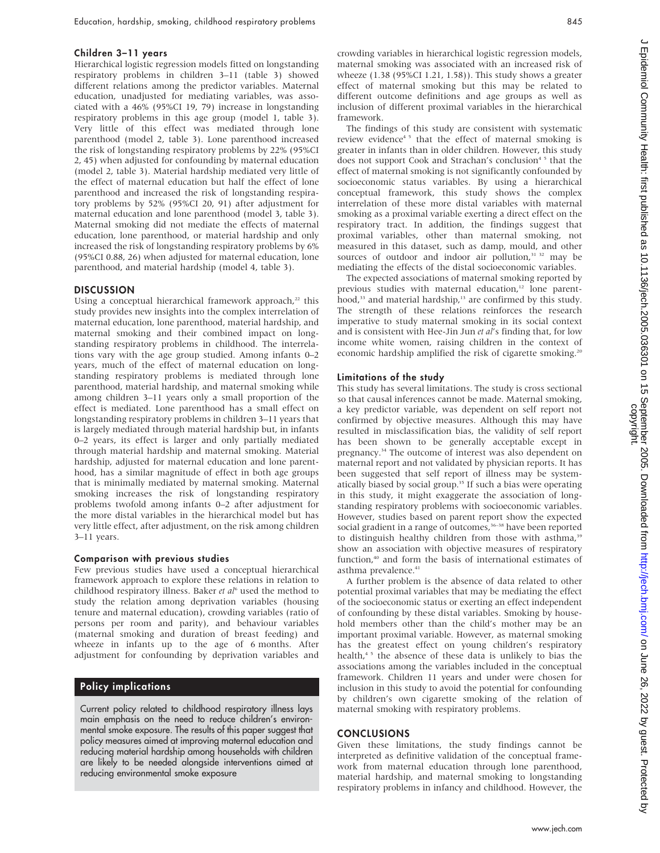## Children 3–11 years

Hierarchical logistic regression models fitted on longstanding respiratory problems in children 3–11 (table 3) showed different relations among the predictor variables. Maternal education, unadjusted for mediating variables, was associated with a 46% (95%CI 19, 79) increase in longstanding respiratory problems in this age group (model 1, table 3). Very little of this effect was mediated through lone parenthood (model 2, table 3). Lone parenthood increased the risk of longstanding respiratory problems by 22% (95%CI 2, 45) when adjusted for confounding by maternal education (model 2, table 3). Material hardship mediated very little of the effect of maternal education but half the effect of lone parenthood and increased the risk of longstanding respiratory problems by 52% (95%CI 20, 91) after adjustment for maternal education and lone parenthood (model 3, table 3). Maternal smoking did not mediate the effects of maternal education, lone parenthood, or material hardship and only increased the risk of longstanding respiratory problems by 6% (95%CI 0.88, 26) when adjusted for maternal education, lone parenthood, and material hardship (model 4, table 3).

## **DISCUSSION**

Using a conceptual hierarchical framework approach, $22$  this study provides new insights into the complex interrelation of maternal education, lone parenthood, material hardship, and maternal smoking and their combined impact on longstanding respiratory problems in childhood. The interrelations vary with the age group studied. Among infants 0–2 years, much of the effect of maternal education on longstanding respiratory problems is mediated through lone parenthood, material hardship, and maternal smoking while among children 3–11 years only a small proportion of the effect is mediated. Lone parenthood has a small effect on longstanding respiratory problems in children 3–11 years that is largely mediated through material hardship but, in infants 0–2 years, its effect is larger and only partially mediated through material hardship and maternal smoking. Material hardship, adjusted for maternal education and lone parenthood, has a similar magnitude of effect in both age groups that is minimally mediated by maternal smoking. Maternal smoking increases the risk of longstanding respiratory problems twofold among infants 0–2 after adjustment for the more distal variables in the hierarchical model but has very little effect, after adjustment, on the risk among children 3–11 years.

#### Comparison with previous studies

Few previous studies have used a conceptual hierarchical framework approach to explore these relations in relation to childhood respiratory illness. Baker et  $al<sup>6</sup>$  used the method to study the relation among deprivation variables (housing tenure and maternal education), crowding variables (ratio of persons per room and parity), and behaviour variables (maternal smoking and duration of breast feeding) and wheeze in infants up to the age of 6 months. After adjustment for confounding by deprivation variables and

## Policy implications

Current policy related to childhood respiratory illness lays main emphasis on the need to reduce children's environmental smoke exposure. The results of this paper suggest that policy measures aimed at improving maternal education and reducing material hardship among households with children are likely to be needed alongside interventions aimed at reducing environmental smoke exposure

crowding variables in hierarchical logistic regression models, maternal smoking was associated with an increased risk of wheeze (1.38 (95%CI 1.21, 1.58)). This study shows a greater effect of maternal smoking but this may be related to different outcome definitions and age groups as well as inclusion of different proximal variables in the hierarchical framework.

The findings of this study are consistent with systematic review evidence<sup>45</sup> that the effect of maternal smoking is greater in infants than in older children. However, this study does not support Cook and Strachan's conclusion<sup>45</sup> that the effect of maternal smoking is not significantly confounded by socioeconomic status variables. By using a hierarchical conceptual framework, this study shows the complex interrelation of these more distal variables with maternal smoking as a proximal variable exerting a direct effect on the respiratory tract. In addition, the findings suggest that proximal variables, other than maternal smoking, not measured in this dataset, such as damp, mould, and other sources of outdoor and indoor air pollution,<sup>31 32</sup> may be mediating the effects of the distal socioeconomic variables.

The expected associations of maternal smoking reported by previous studies with maternal education,<sup>12</sup> lone parenthood,<sup>33</sup> and material hardship,<sup>13</sup> are confirmed by this study. The strength of these relations reinforces the research imperative to study maternal smoking in its social context and is consistent with Hee-Jin Jun et al's finding that, for low income white women, raising children in the context of economic hardship amplified the risk of cigarette smoking.<sup>20</sup>

## Limitations of the study

This study has several limitations. The study is cross sectional so that causal inferences cannot be made. Maternal smoking, a key predictor variable, was dependent on self report not confirmed by objective measures. Although this may have resulted in misclassification bias, the validity of self report has been shown to be generally acceptable except in pregnancy.34 The outcome of interest was also dependent on maternal report and not validated by physician reports. It has been suggested that self report of illness may be systematically biased by social group.<sup>35</sup> If such a bias were operating in this study, it might exaggerate the association of longstanding respiratory problems with socioeconomic variables. However, studies based on parent report show the expected social gradient in a range of outcomes,<sup>36-38</sup> have been reported to distinguish healthy children from those with asthma,<sup>39</sup> show an association with objective measures of respiratory function,<sup>40</sup> and form the basis of international estimates of asthma prevalence.<sup>41</sup>

A further problem is the absence of data related to other potential proximal variables that may be mediating the effect of the socioeconomic status or exerting an effect independent of confounding by these distal variables. Smoking by household members other than the child's mother may be an important proximal variable. However, as maternal smoking has the greatest effect on young children's respiratory health,<sup>45</sup> the absence of these data is unlikely to bias the associations among the variables included in the conceptual framework. Children 11 years and under were chosen for inclusion in this study to avoid the potential for confounding by children's own cigarette smoking of the relation of maternal smoking with respiratory problems.

## **CONCLUSIONS**

Given these limitations, the study findings cannot be interpreted as definitive validation of the conceptual framework from maternal education through lone parenthood, material hardship, and maternal smoking to longstanding respiratory problems in infancy and childhood. However, the